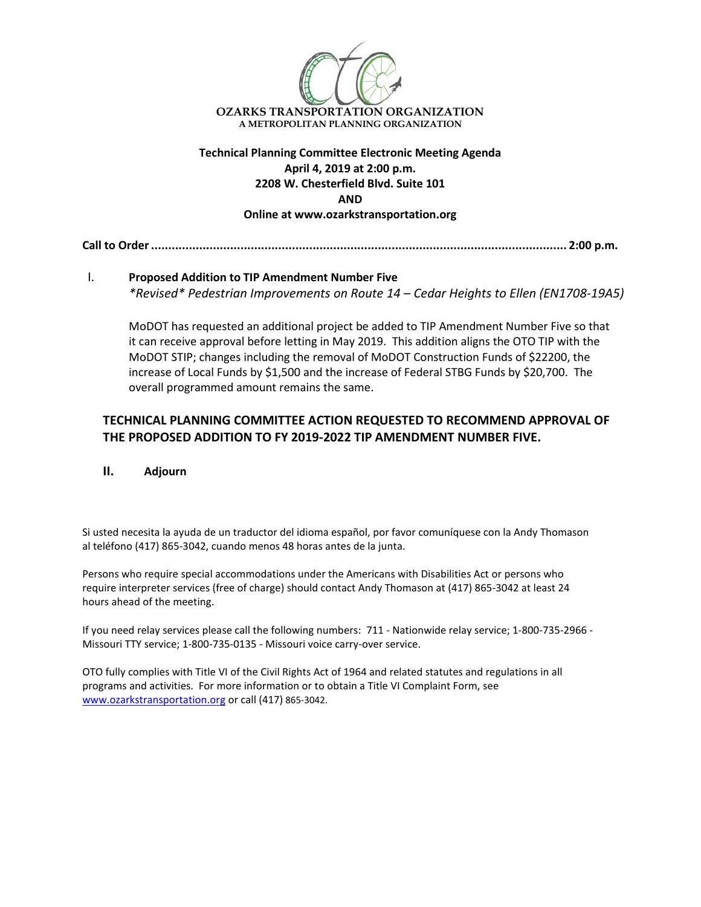

**Technical Planning Committee Electronic Meeting Agenda April 4, 2019 at 2:00 p.m. 2208 W. Chesterfield Blvd. Suite 101 AND Online at www.ozarkstransportation.org**

## **Call to Order......................................................................................................................... 2:00 p.m.**

## I. **Proposed Addition to TIP Amendment Number Five** *\*Revised\* Pedestrian Improvements on Route 14 – Cedar Heights to Ellen (EN1708-19A5)*

MoDOT has requested an additional project be added to TIP Amendment Number Five so that it can receive approval before letting in May 2019. This addition aligns the OTO TIP with the MoDOT STIP; changes including the removal of MoDOT Construction Funds of \$22200, the increase of Local Funds by \$1,500 and the increase of Federal STBG Funds by \$20,700. The overall programmed amount remains the same.

## **TECHNICAL PLANNING COMMITTEE ACTION REQUESTED TO RECOMMEND APPROVAL OF THE PROPOSED ADDITION TO FY 2019-2022 TIP AMENDMENT NUMBER FIVE.**

**II. Adjourn**

Si usted necesita la ayuda de un traductor del idioma español, por favor comuníquese con la Andy Thomason al teléfono (417) 865-3042, cuando menos 48 horas antes de la junta.

Persons who require special accommodations under the Americans with Disabilities Act or persons who require interpreter services (free of charge) should contact Andy Thomason at (417) 865-3042 at least 24 hours ahead of the meeting.

If you need relay services please call the following numbers: 711 - Nationwide relay service; 1-800-735-2966 - Missouri TTY service; 1-800-735-0135 - Missouri voice carry-over service.

OTO fully complies with Title VI of the Civil Rights Act of 1964 and related statutes and regulations in all programs and activities. For more information or to obtain a Title VI Complaint Form, see [www.ozarkstransportation.org](http://www.ozarkstransportation.org/) or call (417) 865-3042.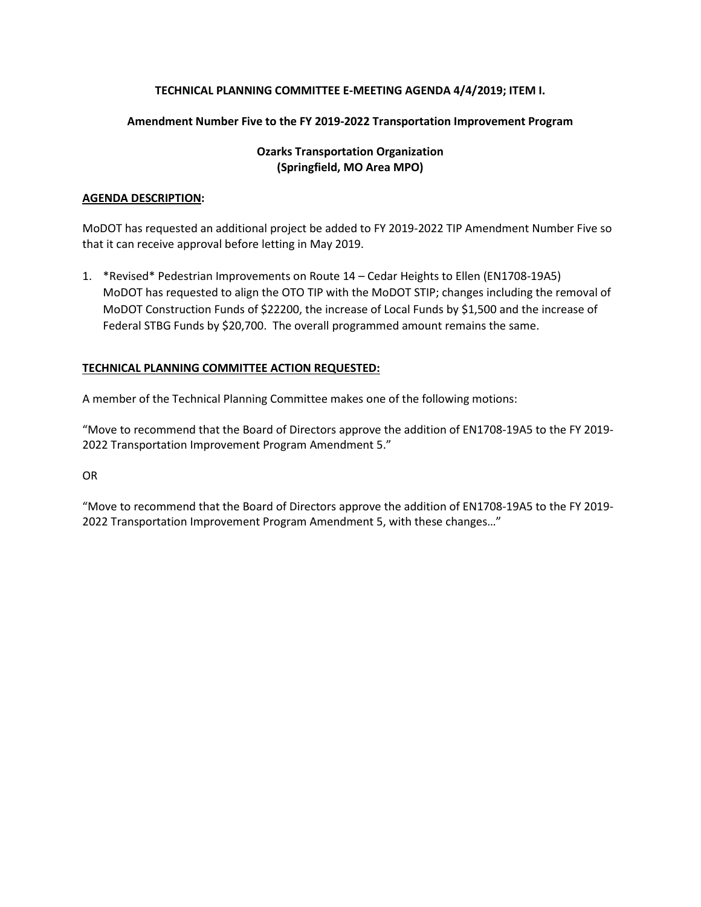## **TECHNICAL PLANNING COMMITTEE E-MEETING AGENDA 4/4/2019; ITEM I.**

## **Amendment Number Five to the FY 2019-2022 Transportation Improvement Program**

## **Ozarks Transportation Organization (Springfield, MO Area MPO)**

### **AGENDA DESCRIPTION:**

MoDOT has requested an additional project be added to FY 2019-2022 TIP Amendment Number Five so that it can receive approval before letting in May 2019.

1. \*Revised\* Pedestrian Improvements on Route 14 – Cedar Heights to Ellen (EN1708-19A5) MoDOT has requested to align the OTO TIP with the MoDOT STIP; changes including the removal of MoDOT Construction Funds of \$22200, the increase of Local Funds by \$1,500 and the increase of Federal STBG Funds by \$20,700. The overall programmed amount remains the same.

## **TECHNICAL PLANNING COMMITTEE ACTION REQUESTED:**

A member of the Technical Planning Committee makes one of the following motions:

"Move to recommend that the Board of Directors approve the addition of EN1708-19A5 to the FY 2019- 2022 Transportation Improvement Program Amendment 5."

OR

"Move to recommend that the Board of Directors approve the addition of EN1708-19A5 to the FY 2019- 2022 Transportation Improvement Program Amendment 5, with these changes…"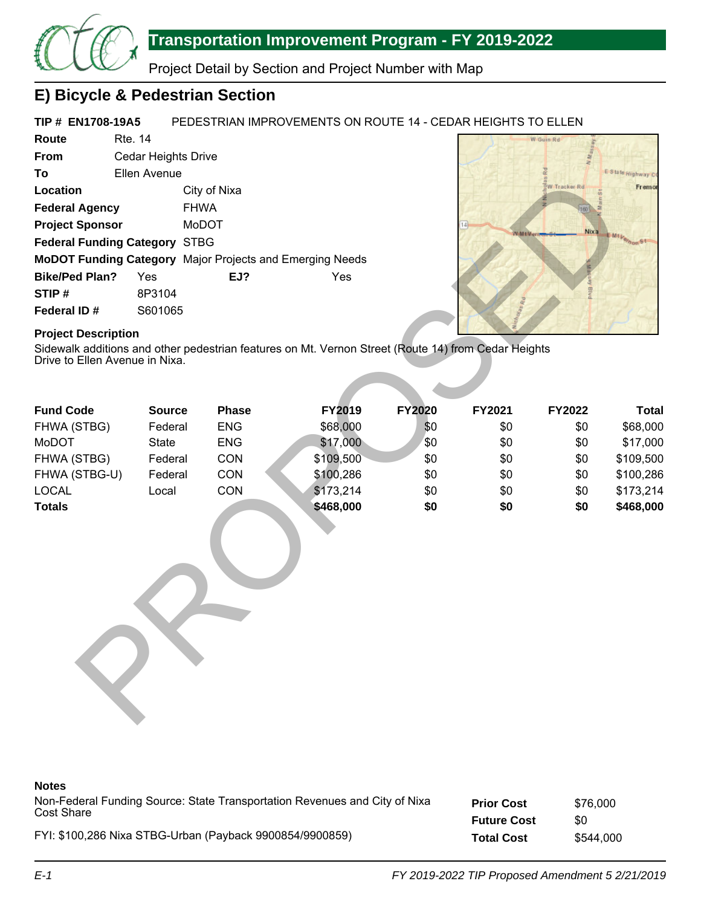

# **Transportation Improvement Program - FY 2019-2022**

Project Detail by Section and Project Number with Map

## **E) Bicycle & Pedestrian Section**

#### **TIP # EN1708-19A5** PEDESTRIAN IMPROVEMENTS ON ROUTE 14 - CEDAR HEIGHTS TO ELLEN

| Route                                | Rte. 14             |              |                                                                 |
|--------------------------------------|---------------------|--------------|-----------------------------------------------------------------|
| <b>From</b>                          | Cedar Heights Drive |              |                                                                 |
| Τo                                   | Ellen Avenue        |              |                                                                 |
| Location                             |                     | City of Nixa |                                                                 |
| <b>Federal Agency</b>                |                     | <b>FHWA</b>  |                                                                 |
| <b>Project Sponsor</b>               |                     | MoDOT        |                                                                 |
| <b>Federal Funding Category STBG</b> |                     |              |                                                                 |
|                                      |                     |              | <b>MoDOT Funding Category</b> Major Projects and Emerging Needs |
| <b>Bike/Ped Plan?</b>                | Yes                 | EJ?          | Yes                                                             |
| STIP#                                | 8P3104              |              |                                                                 |
| Federal ID#                          | S601065             |              |                                                                 |



## **Project Description**

| Location                                                     |               | City of Nixa |                                                                                                     |               |              | W Tracker Rd  | Fremor         |
|--------------------------------------------------------------|---------------|--------------|-----------------------------------------------------------------------------------------------------|---------------|--------------|---------------|----------------|
| <b>Federal Agency</b>                                        |               | <b>FHWA</b>  |                                                                                                     |               |              |               |                |
| <b>Project Sponsor</b>                                       |               | MoDOT        |                                                                                                     |               |              | Nix a         |                |
| Federal Funding Category STBG                                |               |              |                                                                                                     |               | <b>Whity</b> |               | E Mt Vernon ST |
| MoDOT Funding Category Major Projects and Emerging Needs     |               |              |                                                                                                     |               |              |               |                |
| <b>Bike/Ped Plan?</b>                                        | Yes           | EJ?          | Yes                                                                                                 |               |              |               |                |
| STIP#                                                        | 8P3104        |              |                                                                                                     |               |              |               |                |
| Federal ID#                                                  | S601065       |              |                                                                                                     |               |              |               |                |
| <b>Project Description</b><br>Drive to Ellen Avenue in Nixa. |               |              | Sidewalk additions and other pedestrian features on Mt. Vernon Street (Route 14) from Cedar Heights |               |              |               |                |
| <b>Fund Code</b>                                             | <b>Source</b> | <b>Phase</b> | FY2019                                                                                              | <b>FY2020</b> | FY2021       | <b>FY2022</b> | <b>Total</b>   |
| FHWA (STBG)                                                  | Federal       | <b>ENG</b>   | \$68,000                                                                                            | \$0           | \$0          | \$0           | \$68,000       |
| MoDOT                                                        | State         | <b>ENG</b>   | \$17,000                                                                                            | \$0           | \$0          | \$0           | \$17,000       |
| FHWA (STBG)                                                  | Federal       | CON          | \$109,500                                                                                           | \$0           | \$0          | \$0           | \$109,500      |
| FHWA (STBG-U)                                                | Federal       | CON          | \$100,286                                                                                           | \$0           | \$0          | \$0           | \$100,286      |
| <b>LOCAL</b>                                                 | Local         | CON          | \$173,214                                                                                           | \$0           | \$0          | \$0           | \$173,214      |
| <b>Totals</b>                                                |               |              | \$468,000                                                                                           | \$0           | \$0          | \$0           | \$468,000      |
|                                                              |               |              |                                                                                                     |               |              |               |                |
|                                                              |               |              |                                                                                                     |               |              |               |                |
|                                                              |               |              |                                                                                                     |               |              |               |                |

### **Notes**

| Non-Federal Funding Source: State Transportation Revenues and City of Nixa | <b>Prior Cost</b>  | \$76,000  |
|----------------------------------------------------------------------------|--------------------|-----------|
| Cost Share                                                                 | <b>Future Cost</b> | \$0       |
| FYI: \$100,286 Nixa STBG-Urban (Payback 9900854/9900859)                   | <b>Total Cost</b>  | \$544,000 |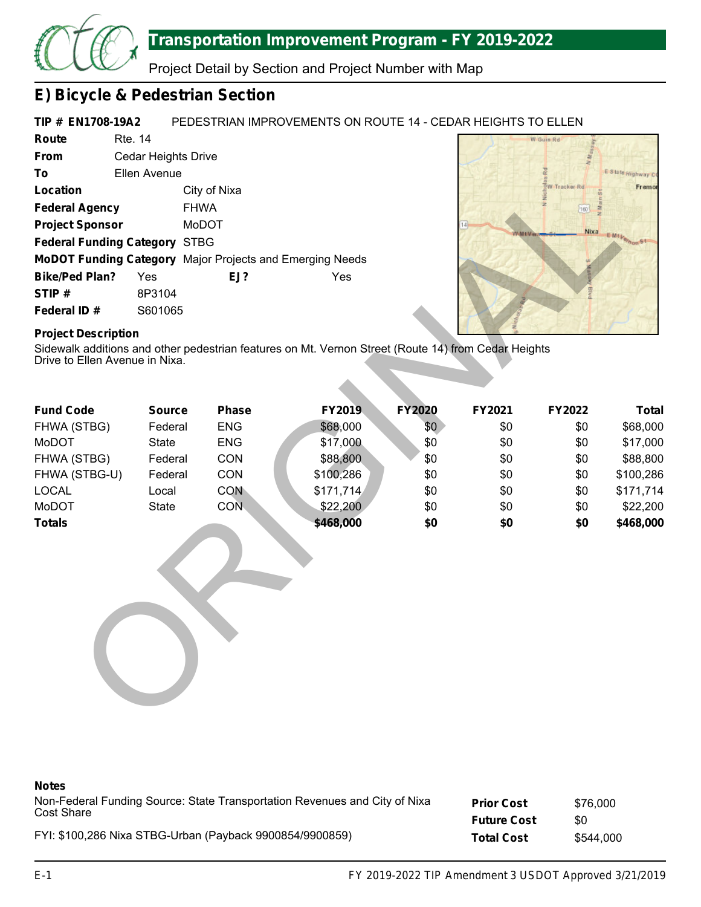

## **Transportation Improvement Program - FY 2019-2022**

Project Detail by Section and Project Number with Map

## **E) Bicycle & Pedestrian Section**

#### **TIP # EN1708-19A2** PEDESTRIAN IMPROVEMENTS ON ROUTE 14 - CEDAR HEIGHTS TO ELLEN

| Route                                | <b>Rte. 14</b>      |                                                          |     |
|--------------------------------------|---------------------|----------------------------------------------------------|-----|
| <b>From</b>                          | Cedar Heights Drive |                                                          |     |
| Τo                                   | Ellen Avenue        |                                                          |     |
| Location                             |                     | City of Nixa                                             |     |
| <b>Federal Agency</b>                |                     | <b>FHWA</b>                                              |     |
| <b>Project Sponsor</b>               |                     | MoDOT                                                    |     |
| <b>Federal Funding Category STBG</b> |                     |                                                          |     |
|                                      |                     | MoDOT Funding Category Major Projects and Emerging Needs |     |
| <b>Bike/Ped Plan?</b>                | Yes                 | EJ?                                                      | Yes |
| STIP#                                | 8P3104              |                                                          |     |
| Federal ID#                          | S601065             |                                                          |     |



## **Project Description**

| Location                                                     |               | City of Nixa |                                                                                                     |               |        | W Tracker Rd | Fremor         |
|--------------------------------------------------------------|---------------|--------------|-----------------------------------------------------------------------------------------------------|---------------|--------|--------------|----------------|
| <b>Federal Agency</b>                                        |               | <b>FHWA</b>  |                                                                                                     |               |        | 160          |                |
| <b>Project Sponsor</b>                                       |               | MoDOT        |                                                                                                     |               |        | Nixa         |                |
| <b>Federal Funding Category STBG</b>                         |               |              |                                                                                                     |               |        |              | E Mt Vernon St |
|                                                              |               |              | MoDOT Funding Category Major Projects and Emerging Needs                                            |               |        |              |                |
| <b>Bike/Ped Plan?</b>                                        | Yes           | EJ?          | Yes                                                                                                 |               |        |              |                |
| STIP#                                                        | 8P3104        |              |                                                                                                     |               |        |              |                |
| Federal ID#                                                  | S601065       |              |                                                                                                     |               |        |              |                |
| <b>Project Description</b><br>Drive to Ellen Avenue in Nixa. |               |              | Sidewalk additions and other pedestrian features on Mt. Vernon Street (Route 14) from Cedar Heights |               |        |              |                |
| <b>Fund Code</b>                                             | <b>Source</b> | Phase        | FY2019                                                                                              | <b>FY2020</b> | FY2021 | FY2022       | <b>Total</b>   |
| FHWA (STBG)                                                  | Federal       | <b>ENG</b>   | \$68,000                                                                                            | \$0\$         | \$0    | \$0          | \$68,000       |
| MoDOT                                                        | State         | <b>ENG</b>   | \$17,000                                                                                            | \$0           | \$0    | \$0          | \$17,000       |
| FHWA (STBG)                                                  | Federal       | CON          | \$88,800                                                                                            | \$0           | \$0    | \$0          | \$88,800       |
| FHWA (STBG-U)                                                | Federal       | CON          | \$100,286                                                                                           | \$0           | \$0    | \$0          | \$100,286      |
| <b>LOCAL</b>                                                 | Local         | <b>CON</b>   | \$171,714                                                                                           | \$0           | \$0    | \$0          | \$171,714      |
| MoDOT                                                        | State         | CON.         | \$22,200                                                                                            | \$0           | \$0    | \$0          | \$22,200       |
| <b>Totals</b>                                                |               |              | \$468,000                                                                                           | \$0           | \$0    | \$0          | \$468,000      |
|                                                              |               |              |                                                                                                     |               |        |              |                |

### **Notes**

**Prior Cost Future Cost** Non-Federal Funding Source: State Transportation Revenues and City of Nixa Cost Share \$76,000 \$0

FYI: \$100,286 Nixa STBG-Urban (Payback 9900854/9900859)

**Total Cost** \$544,000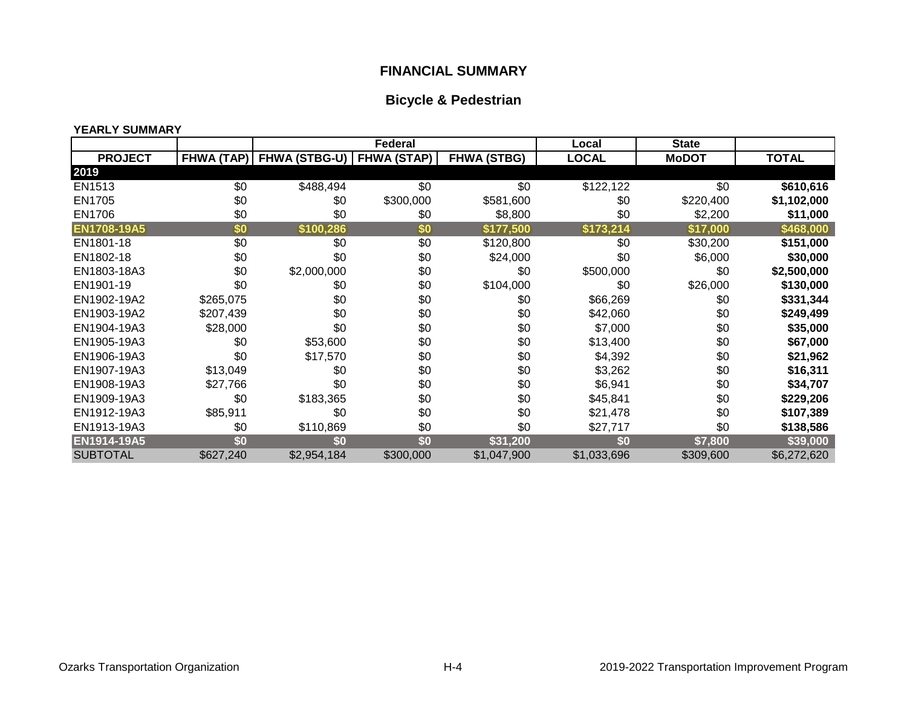## **FINANCIAL SUMMARY**

## **Bicycle & Pedestrian**

#### **YEARLY SUMMARY**

|                    |           | <b>Federal</b>                           |           | Local              | <b>State</b> |              |              |
|--------------------|-----------|------------------------------------------|-----------|--------------------|--------------|--------------|--------------|
| <b>PROJECT</b>     |           | FHWA (TAP)   FHWA (STBG-U)   FHWA (STAP) |           | <b>FHWA (STBG)</b> | <b>LOCAL</b> | <b>MoDOT</b> | <b>TOTAL</b> |
| 2019               |           |                                          |           |                    |              |              |              |
| EN1513             | \$0       | \$488,494                                | \$0       | \$0                | \$122,122    | \$0          | \$610,616    |
| EN1705             | \$0       | \$0                                      | \$300,000 | \$581,600          | \$0          | \$220,400    | \$1,102,000  |
| EN1706             | \$0       | \$0                                      | \$0       | \$8,800            | \$0          | \$2,200      | \$11,000     |
| <b>EN1708-19A5</b> | \$0       | \$100,286                                | \$0       | \$177,500          | \$173,214    | \$17,000     | \$468,000    |
| EN1801-18          | \$0       | \$0                                      | \$0       | \$120,800          | \$0          | \$30,200     | \$151,000    |
| EN1802-18          | \$0       | \$0                                      | \$0       | \$24,000           | \$0          | \$6,000      | \$30,000     |
| EN1803-18A3        | \$0       | \$2,000,000                              | \$0       | \$0                | \$500,000    | \$0          | \$2,500,000  |
| EN1901-19          | \$0       | \$0                                      | \$0       | \$104,000          | \$0          | \$26,000     | \$130,000    |
| EN1902-19A2        | \$265,075 | \$0                                      | \$0       | \$0                | \$66,269     | \$0          | \$331,344    |
| EN1903-19A2        | \$207,439 | \$0                                      | \$0       | \$0                | \$42,060     | \$0          | \$249,499    |
| EN1904-19A3        | \$28,000  | \$0                                      | \$0       | \$0                | \$7,000      | \$0          | \$35,000     |
| EN1905-19A3        | \$0       | \$53,600                                 | \$0       | \$0                | \$13,400     | \$0          | \$67,000     |
| EN1906-19A3        | \$0       | \$17,570                                 | \$0       | \$0                | \$4,392      | \$0          | \$21,962     |
| EN1907-19A3        | \$13,049  | \$0                                      | \$0       | \$0                | \$3,262      | \$0          | \$16,311     |
| EN1908-19A3        | \$27,766  | \$0                                      | \$0       | \$0                | \$6,941      | \$0          | \$34,707     |
| EN1909-19A3        | \$0       | \$183,365                                | \$0       | \$0                | \$45,841     | \$0          | \$229,206    |
| EN1912-19A3        | \$85,911  | \$0                                      | \$0       | \$0                | \$21,478     | \$0          | \$107,389    |
| EN1913-19A3        | \$0       | \$110,869                                | \$0       | \$0                | \$27,717     | \$0          | \$138,586    |
| EN1914-19A5        | \$0       | \$0                                      | \$0       | \$31,200           | \$0          | \$7,800      | \$39,000     |
| <b>SUBTOTAL</b>    | \$627,240 | \$2,954,184                              | \$300,000 | \$1,047,900        | \$1,033,696  | \$309,600    | \$6,272,620  |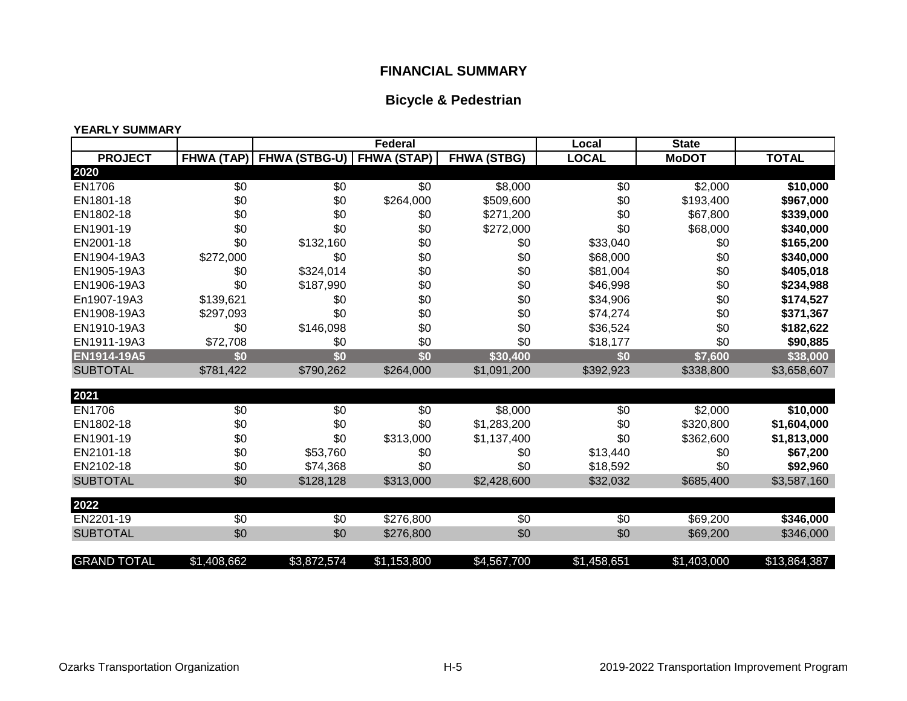## **FINANCIAL SUMMARY**

## **Bicycle & Pedestrian**

#### **YEARLY SUMMARY**

|                    |             | <b>Federal</b>                           |                  | Local              | <b>State</b> |              |              |
|--------------------|-------------|------------------------------------------|------------------|--------------------|--------------|--------------|--------------|
| <b>PROJECT</b>     |             | FHWA (TAP)   FHWA (STBG-U)   FHWA (STAP) |                  | <b>FHWA (STBG)</b> | <b>LOCAL</b> | <b>MoDOT</b> | <b>TOTAL</b> |
| 2020               |             |                                          |                  |                    |              |              |              |
| EN1706             | \$0         | \$0                                      | \$0              | \$8,000            | \$0          | \$2,000      | \$10,000     |
| EN1801-18          | \$0         | \$0                                      | \$264,000        | \$509,600          | \$0          | \$193,400    | \$967,000    |
| EN1802-18          | \$0         | \$0                                      | \$0              | \$271,200          | \$0          | \$67,800     | \$339,000    |
| EN1901-19          | \$0         | \$0                                      | \$0              | \$272,000          | \$0          | \$68,000     | \$340,000    |
| EN2001-18          | \$0         | \$132,160                                | \$0              | \$0                | \$33,040     | \$0          | \$165,200    |
| EN1904-19A3        | \$272,000   | \$0                                      | \$0              | \$0                | \$68,000     | \$0          | \$340,000    |
| EN1905-19A3        | \$0         | \$324,014                                | \$0              | \$0                | \$81,004     | \$0          | \$405,018    |
| EN1906-19A3        | \$0         | \$187,990                                | \$0              | \$0                | \$46,998     | \$0          | \$234,988    |
| En1907-19A3        | \$139,621   | \$0                                      | \$0              | \$0                | \$34,906     | \$0          | \$174,527    |
| EN1908-19A3        | \$297,093   | \$0                                      | \$0              | \$0                | \$74,274     | \$0          | \$371,367    |
| EN1910-19A3        | \$0         | \$146,098                                | \$0              | \$0                | \$36,524     | \$0          | \$182,622    |
| EN1911-19A3        | \$72,708    | \$0                                      | \$0              | \$0                | \$18,177     | \$0          | \$90,885     |
| EN1914-19A5        | \$0         | \$0                                      | $\overline{\$0}$ | \$30,400           | \$0          | \$7,600      | \$38,000     |
| <b>SUBTOTAL</b>    | \$781,422   | \$790,262                                | \$264,000        | \$1,091,200        | \$392,923    | \$338,800    | \$3,658,607  |
|                    |             |                                          |                  |                    |              |              |              |
| 2021               |             |                                          |                  |                    |              |              |              |
| <b>EN1706</b>      | \$0         | \$0                                      | \$0              | \$8,000            | \$0          | \$2,000      | \$10,000     |
| EN1802-18          | \$0         | \$0                                      | \$0              | \$1,283,200        | \$0          | \$320,800    | \$1,604,000  |
| EN1901-19          | \$0         | \$0                                      | \$313,000        | \$1,137,400        | \$0          | \$362,600    | \$1,813,000  |
| EN2101-18          | \$0         | \$53,760                                 | \$0              | \$0                | \$13,440     | \$0          | \$67,200     |
| EN2102-18          | \$0         | \$74,368                                 | \$0              | \$0                | \$18,592     | \$0          | \$92,960     |
| <b>SUBTOTAL</b>    | \$0         | \$128,128                                | \$313,000        | \$2,428,600        | \$32,032     | \$685,400    | \$3,587,160  |
|                    |             |                                          |                  |                    |              |              |              |
| 2022               |             |                                          |                  |                    |              |              |              |
| EN2201-19          | \$0         | \$0                                      | \$276,800        | \$0                | \$0          | \$69,200     | \$346,000    |
| <b>SUBTOTAL</b>    | \$0         | \$0                                      | \$276,800        | \$0                | \$0          | \$69,200     | \$346,000    |
| <b>GRAND TOTAL</b> | \$1,408,662 | \$3,872,574                              | \$1,153,800      | \$4,567,700        | \$1,458,651  | \$1,403,000  | \$13,864,387 |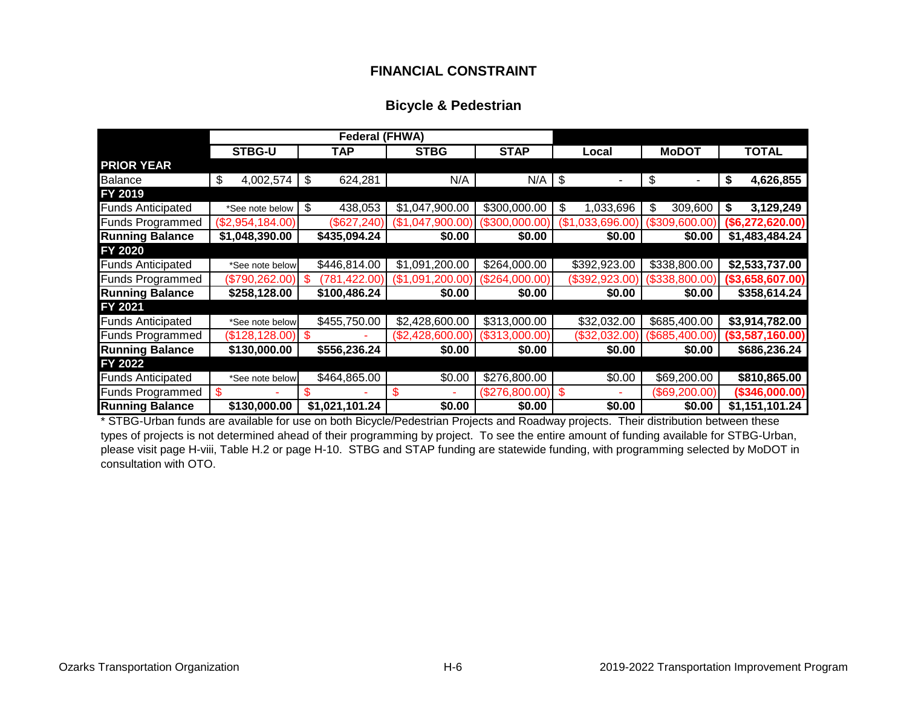## **FINANCIAL CONSTRAINT**

## **Bicycle & Pedestrian**

|                          |                                     | <b>Federal (FHWA)</b> |                  |                       |                      |                |                  |
|--------------------------|-------------------------------------|-----------------------|------------------|-----------------------|----------------------|----------------|------------------|
|                          | <b>STBG-U</b><br>TAP<br><b>STBG</b> |                       | <b>STAP</b>      | <b>MoDOT</b><br>Local |                      | <b>TOTAL</b>   |                  |
| <b>PRIOR YEAR</b>        |                                     |                       |                  |                       |                      |                |                  |
| <b>Balance</b>           | \$<br>4,002,574                     | \$<br>624,281         | N/A              | $N/A$ $\sqrt{S}$      |                      | \$             | \$<br>4,626,855  |
| FY 2019                  |                                     |                       |                  |                       |                      |                |                  |
| <b>Funds Anticipated</b> | *See note below                     | \$<br>438,053         | \$1,047,900.00   | \$300,000.00          | 1,033,696<br>\$      | \$<br>309,600  | 3,129,249<br>\$  |
| <b>Funds Programmed</b>  | (\$2,954,184.00)                    | $(\$627,240)$         | (\$1,047,900.00) | (\$300,000.00"        | ,033,696.00)<br>(\$1 | (\$309,600.00) | (\$6,272,620.00) |
| <b>Running Balance</b>   | \$1,048,390.00                      | \$435,094.24          | \$0.00           | \$0.00                | \$0.00               | \$0.00         | \$1,483,484.24   |
| FY 2020                  |                                     |                       |                  |                       |                      |                |                  |
| <b>Funds Anticipated</b> | *See note below                     | \$446,814.00          | \$1,091,200.00   | \$264,000.00          | \$392,923.00         | \$338,800.00   | \$2,533,737.00   |
| <b>Funds Programmed</b>  | (\$790,262.00)                      | (781, 422.00)         | (\$1,091,200.00  | (\$264,000.00)        | (\$392,923.00)       | (\$338,800.00) | (\$3,658,607.00) |
| <b>Running Balance</b>   | \$258,128.00                        | \$100,486.24          | \$0.00           | \$0.00                | \$0.00               | \$0.00         | \$358,614.24     |
| FY 2021                  |                                     |                       |                  |                       |                      |                |                  |
| <b>Funds Anticipated</b> | *See note below                     | \$455,750.00          | \$2,428,600.00   | \$313,000.00          | \$32,032.00          | \$685,400.00   | \$3,914,782.00   |
| <b>Funds Programmed</b>  | (\$128,128.00)                      | - \$                  | (\$2,428,600.00) | (\$313,000.00)        | (\$32,032.00)        | (\$685,400.00) | (\$3,587,160.00) |
| <b>Running Balance</b>   | \$130,000.00                        | \$556,236.24          | \$0.00           | \$0.00                | \$0.00               | \$0.00         | \$686,236.24     |
| FY 2022                  |                                     |                       |                  |                       |                      |                |                  |
| <b>Funds Anticipated</b> | *See note below                     | \$464,865.00          | \$0.00           | \$276,800.00          | \$0.00               | \$69,200.00    | \$810,865.00     |
| <b>Funds Programmed</b>  |                                     |                       | S                | (\$276,800.00)        |                      | (\$69,200.00)  | (\$346,000.00)   |
| <b>Running Balance</b>   | \$130,000.00                        | \$1,021,101.24        | \$0.00           | \$0.00                | \$0.00               | \$0.00         | \$1,151,101.24   |

\* STBG-Urban funds are available for use on both Bicycle/Pedestrian Projects and Roadway projects. Their distribution between these types of projects is not determined ahead of their programming by project. To see the entire amount of funding available for STBG-Urban, please visit page H-viii, Table H.2 or page H-10. STBG and STAP funding are statewide funding, with programming selected by MoDOT in consultation with OTO.